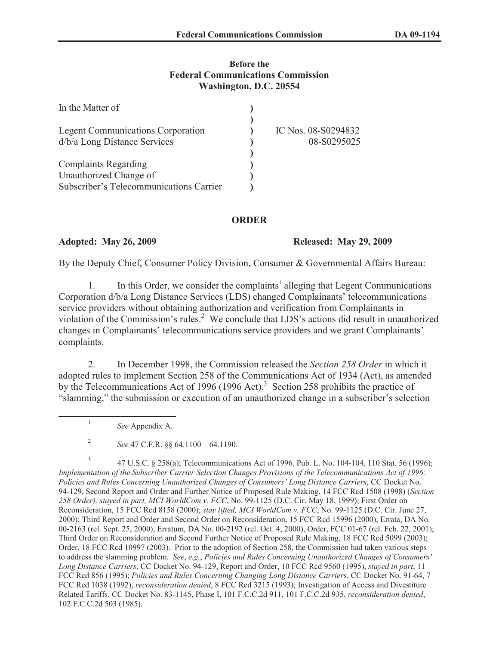#### **Before the Federal Communications Commission Washington, D.C. 20554**

| In the Matter of                         |                     |
|------------------------------------------|---------------------|
|                                          |                     |
| <b>Legent Communications Corporation</b> | IC Nos. 08-S0294832 |
| d/b/a Long Distance Services             | 08-S0295025         |
|                                          |                     |
| <b>Complaints Regarding</b>              |                     |
| Unauthorized Change of                   |                     |
| Subscriber's Telecommunications Carrier  |                     |

### **ORDER**

### **Adopted: May 26, 2009 Released: May 29, 2009**

By the Deputy Chief, Consumer Policy Division, Consumer & Governmental Affairs Bureau:

1. In this Order, we consider the complaints<sup>1</sup> alleging that Legent Communications Corporation d/b/a Long Distance Services (LDS) changed Complainants' telecommunications service providers without obtaining authorization and verification from Complainants in violation of the Commission's rules.<sup>2</sup> We conclude that LDS's actions did result in unauthorized changes in Complainants' telecommunications service providers and we grant Complainants' complaints.

2. In December 1998, the Commission released the *Section 258 Order* in which it adopted rules to implement Section 258 of the Communications Act of 1934 (Act), as amended by the Telecommunications Act of 1996 (1996 Act).<sup>3</sup> Section 258 prohibits the practice of "slamming," the submission or execution of an unauthorized change in a subscriber's selection

1

*See* Appendix A.

<sup>2</sup> *See* 47 C.F.R. §§ 64.1100 – 64.1190.

<sup>3</sup> 47 U.S.C. § 258(a); Telecommunications Act of 1996, Pub. L. No. 104-104, 110 Stat. 56 (1996); *Implementation of the Subscriber Carrier Selection Changes Provisions of the Telecommunications Act of 1996; Policies and Rules Concerning Unauthorized Changes of Consumers' Long Distance Carriers*, CC Docket No. 94-129, Second Report and Order and Further Notice of Proposed Rule Making, 14 FCC Rcd 1508 (1998) (*Section 258 Order), stayed in part, MCI WorldCom v. FCC*, No. 99-1125 (D.C. Cir. May 18, 1999); First Order on Reconsideration, 15 FCC Rcd 8158 (2000); *stay lifted, MCI WorldCom v. FCC*, No. 99-1125 (D.C. Cir. June 27, 2000); Third Report and Order and Second Order on Reconsideration, 15 FCC Rcd 15996 (2000), Errata, DA No. 00-2163 (rel. Sept. 25, 2000), Erratum, DA No. 00-2192 (rel. Oct. 4, 2000), Order, FCC 01-67 (rel. Feb. 22, 2001); Third Order on Reconsideration and Second Further Notice of Proposed Rule Making, 18 FCC Rcd 5099 (2003); Order, 18 FCC Rcd 10997 (2003). Prior to the adoption of Section 258, the Commission had taken various steps to address the slamming problem. *See*, *e.g.*, *Policies and Rules Concerning Unauthorized Changes of Consumers' Long Distance Carriers*, CC Docket No. 94-129, Report and Order, 10 FCC Rcd 9560 (1995), *stayed in part*, 11 FCC Rcd 856 (1995); *Policies and Rules Concerning Changing Long Distance Carrier*s, CC Docket No. 91-64, 7 FCC Rcd 1038 (1992), *reconsideration denied*, 8 FCC Rcd 3215 (1993); Investigation of Access and Divestiture Related Tariffs, CC Docket No. 83-1145, Phase I, 101 F.C.C.2d 911, 101 F.C.C.2d 935, *reconsideration denied*, 102 F.C.C.2d 503 (1985).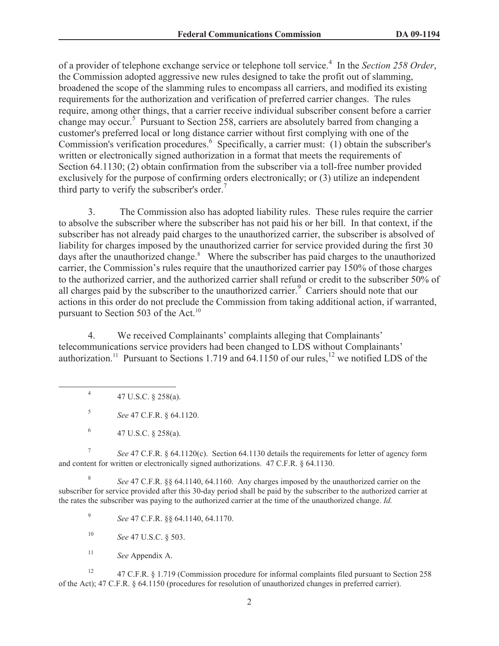of a provider of telephone exchange service or telephone toll service.<sup>4</sup> In the *Section 258 Order*, the Commission adopted aggressive new rules designed to take the profit out of slamming, broadened the scope of the slamming rules to encompass all carriers, and modified its existing requirements for the authorization and verification of preferred carrier changes. The rules require, among other things, that a carrier receive individual subscriber consent before a carrier change may occur.<sup>5</sup> Pursuant to Section 258, carriers are absolutely barred from changing a customer's preferred local or long distance carrier without first complying with one of the Commission's verification procedures.<sup>6</sup> Specifically, a carrier must: (1) obtain the subscriber's written or electronically signed authorization in a format that meets the requirements of Section 64.1130; (2) obtain confirmation from the subscriber via a toll-free number provided exclusively for the purpose of confirming orders electronically; or (3) utilize an independent third party to verify the subscriber's order.<sup>7</sup>

3. The Commission also has adopted liability rules. These rules require the carrier to absolve the subscriber where the subscriber has not paid his or her bill. In that context, if the subscriber has not already paid charges to the unauthorized carrier, the subscriber is absolved of liability for charges imposed by the unauthorized carrier for service provided during the first 30 days after the unauthorized change.<sup>8</sup> Where the subscriber has paid charges to the unauthorized carrier, the Commission's rules require that the unauthorized carrier pay 150% of those charges to the authorized carrier, and the authorized carrier shall refund or credit to the subscriber 50% of all charges paid by the subscriber to the unauthorized carrier.<sup>9</sup> Carriers should note that our actions in this order do not preclude the Commission from taking additional action, if warranted, pursuant to Section 503 of the Act.<sup>10</sup>

4. We received Complainants' complaints alleging that Complainants' telecommunications service providers had been changed to LDS without Complainants' authorization.<sup>11</sup> Pursuant to Sections 1.719 and 64.1150 of our rules,<sup>12</sup> we notified LDS of the

4 47 U.S.C. § 258(a).

5 *See* 47 C.F.R. § 64.1120.

6 47 U.S.C. § 258(a).

7 *See* 47 C.F.R. § 64.1120(c). Section 64.1130 details the requirements for letter of agency form and content for written or electronically signed authorizations. 47 C.F.R. § 64.1130.

8 *See* 47 C.F.R. §§ 64.1140, 64.1160. Any charges imposed by the unauthorized carrier on the subscriber for service provided after this 30-day period shall be paid by the subscriber to the authorized carrier at the rates the subscriber was paying to the authorized carrier at the time of the unauthorized change. *Id.*

9 *See* 47 C.F.R. §§ 64.1140, 64.1170.

<sup>10</sup> *See* 47 U.S.C. § 503.

<sup>11</sup> *See* Appendix A.

<sup>12</sup> 47 C.F.R. § 1.719 (Commission procedure for informal complaints filed pursuant to Section 258 of the Act); 47 C.F.R. § 64.1150 (procedures for resolution of unauthorized changes in preferred carrier).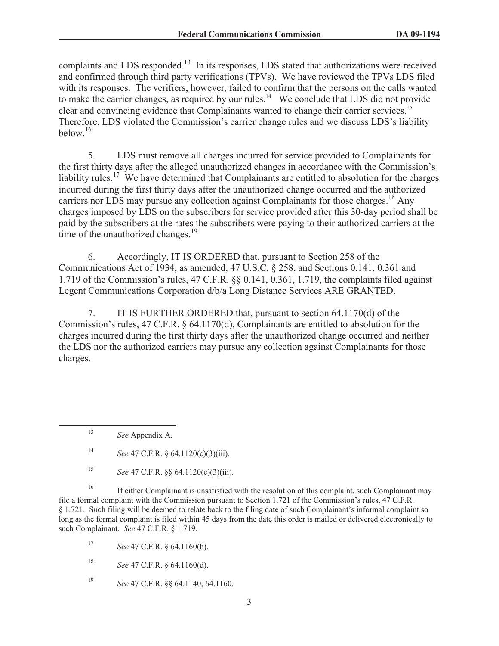complaints and LDS responded.<sup>13</sup> In its responses, LDS stated that authorizations were received and confirmed through third party verifications (TPVs). We have reviewed the TPVs LDS filed with its responses. The verifiers, however, failed to confirm that the persons on the calls wanted to make the carrier changes, as required by our rules.<sup>14</sup> We conclude that LDS did not provide clear and convincing evidence that Complainants wanted to change their carrier services.<sup>15</sup> Therefore, LDS violated the Commission's carrier change rules and we discuss LDS's liability below.<sup>16</sup>

5. LDS must remove all charges incurred for service provided to Complainants for the first thirty days after the alleged unauthorized changes in accordance with the Commission's liability rules.<sup>17</sup> We have determined that Complainants are entitled to absolution for the charges incurred during the first thirty days after the unauthorized change occurred and the authorized carriers nor LDS may pursue any collection against Complainants for those charges.<sup>18</sup> Any charges imposed by LDS on the subscribers for service provided after this 30-day period shall be paid by the subscribers at the rates the subscribers were paying to their authorized carriers at the time of the unauthorized changes. $19$ 

6. Accordingly, IT IS ORDERED that, pursuant to Section 258 of the Communications Act of 1934, as amended, 47 U.S.C. § 258, and Sections 0.141, 0.361 and 1.719 of the Commission's rules, 47 C.F.R. §§ 0.141, 0.361, 1.719, the complaints filed against Legent Communications Corporation d/b/a Long Distance Services ARE GRANTED.

7. IT IS FURTHER ORDERED that, pursuant to section 64.1170(d) of the Commission's rules, 47 C.F.R. § 64.1170(d), Complainants are entitled to absolution for the charges incurred during the first thirty days after the unauthorized change occurred and neither the LDS nor the authorized carriers may pursue any collection against Complainants for those charges.

<sup>16</sup> If either Complainant is unsatisfied with the resolution of this complaint, such Complainant may file a formal complaint with the Commission pursuant to Section 1.721 of the Commission's rules, 47 C.F.R. § 1.721. Such filing will be deemed to relate back to the filing date of such Complainant's informal complaint so long as the formal complaint is filed within 45 days from the date this order is mailed or delivered electronically to such Complainant. *See* 47 C.F.R. § 1.719.

<sup>17</sup> *See* 47 C.F.R. § 64.1160(b).

- <sup>18</sup> *See* 47 C.F.R. § 64.1160(d).
- <sup>19</sup> *See* 47 C.F.R. §§ 64.1140, 64.1160.

<sup>13</sup> *See* Appendix A.

<sup>14</sup> *See* 47 C.F.R. § 64.1120(c)(3)(iii).

<sup>15</sup> *See* 47 C.F.R. §§ 64.1120(c)(3)(iii).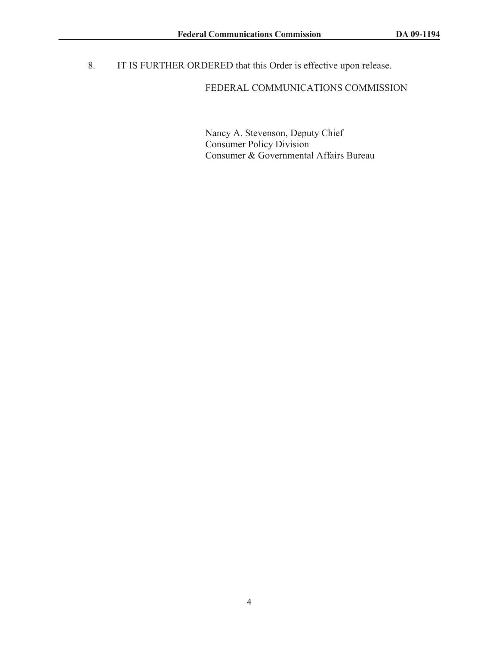8. IT IS FURTHER ORDERED that this Order is effective upon release.

## FEDERAL COMMUNICATIONS COMMISSION

Nancy A. Stevenson, Deputy Chief Consumer Policy Division Consumer & Governmental Affairs Bureau